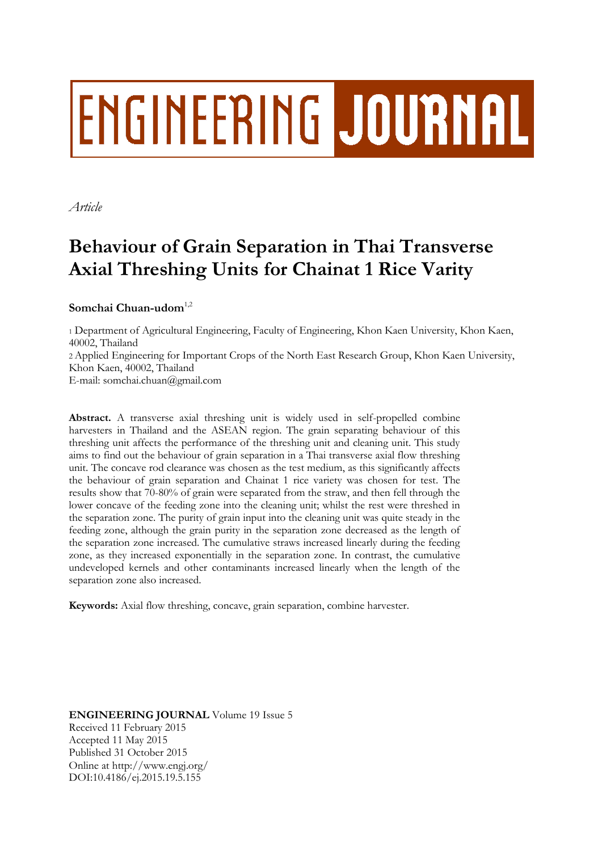# **ENGINEERING JOURNAL**

*Article*

# **Behaviour of Grain Separation in Thai Transverse Axial Threshing Units for Chainat 1 Rice Varity**

## Somchai Chuan-udom<sup>1,2</sup>

<sup>1</sup> Department of Agricultural Engineering, Faculty of Engineering, Khon Kaen University, Khon Kaen, 40002, Thailand 2 Applied Engineering for Important Crops of the North East Research Group, Khon Kaen University, Khon Kaen, 40002, Thailand E-mail: somchai.chuan@gmail.com

**Abstract.** A transverse axial threshing unit is widely used in self-propelled combine harvesters in Thailand and the ASEAN region. The grain separating behaviour of this threshing unit affects the performance of the threshing unit and cleaning unit. This study aims to find out the behaviour of grain separation in a Thai transverse axial flow threshing unit. The concave rod clearance was chosen as the test medium, as this significantly affects the behaviour of grain separation and Chainat 1 rice variety was chosen for test. The results show that 70-80% of grain were separated from the straw, and then fell through the lower concave of the feeding zone into the cleaning unit; whilst the rest were threshed in the separation zone. The purity of grain input into the cleaning unit was quite steady in the feeding zone, although the grain purity in the separation zone decreased as the length of the separation zone increased. The cumulative straws increased linearly during the feeding zone, as they increased exponentially in the separation zone. In contrast, the cumulative undeveloped kernels and other contaminants increased linearly when the length of the separation zone also increased.

**Keywords:** Axial flow threshing, concave, grain separation, combine harvester.

**ENGINEERING JOURNAL** Volume 19 Issue 5 Received 11 February 2015 Accepted 11 May 2015 Published 31 October 2015 Online at http://www.engj.org/ DOI:10.4186/ej.2015.19.5.155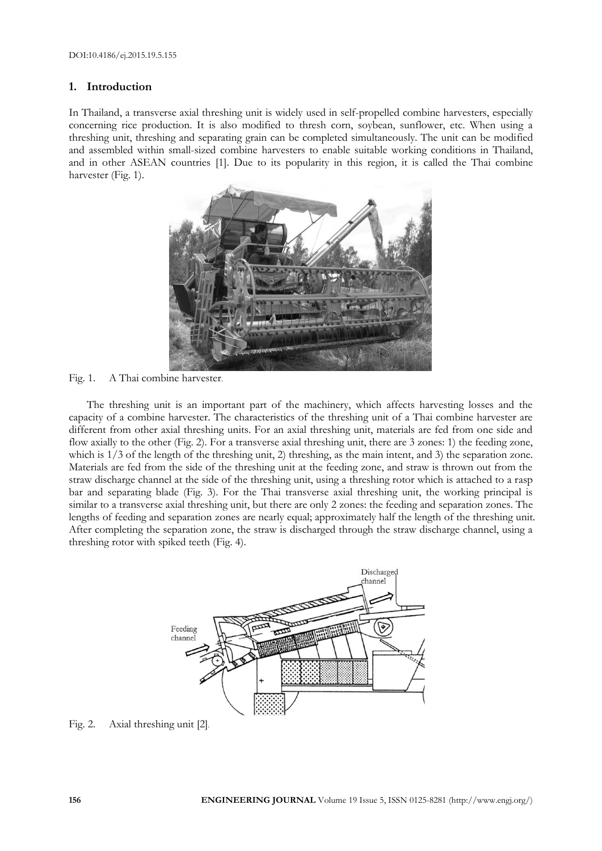#### **1. Introduction**

In Thailand, a transverse axial threshing unit is widely used in self-propelled combine harvesters, especially concerning rice production. It is also modified to thresh corn, soybean, sunflower, etc. When using a threshing unit, threshing and separating grain can be completed simultaneously. The unit can be modified and assembled within small-sized combine harvesters to enable suitable working conditions in Thailand, and in other ASEAN countries [1]. Due to its popularity in this region, it is called the Thai combine harvester (Fig. 1).



Fig. 1. A Thai combine harvester.

The threshing unit is an important part of the machinery, which affects harvesting losses and the capacity of a combine harvester. The characteristics of the threshing unit of a Thai combine harvester are different from other axial threshing units. For an axial threshing unit, materials are fed from one side and flow axially to the other (Fig. 2). For a transverse axial threshing unit, there are 3 zones: 1) the feeding zone, which is 1/3 of the length of the threshing unit, 2) threshing, as the main intent, and 3) the separation zone. Materials are fed from the side of the threshing unit at the feeding zone, and straw is thrown out from the straw discharge channel at the side of the threshing unit, using a threshing rotor which is attached to a rasp bar and separating blade (Fig. 3). For the Thai transverse axial threshing unit, the working principal is similar to a transverse axial threshing unit, but there are only 2 zones: the feeding and separation zones. The lengths of feeding and separation zones are nearly equal; approximately half the length of the threshing unit. After completing the separation zone, the straw is discharged through the straw discharge channel, using a threshing rotor with spiked teeth (Fig. 4).



Fig. 2. Axial threshing unit [2].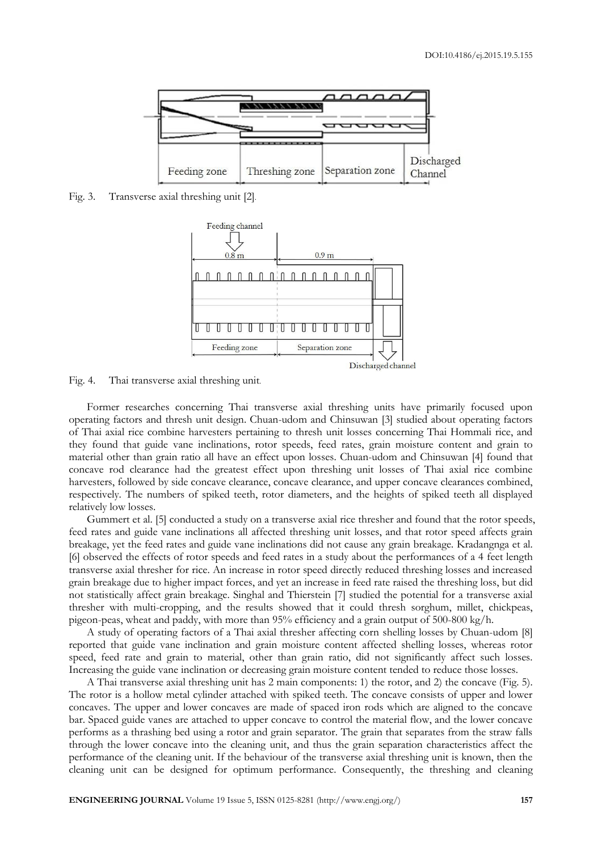

Fig. 3. Transverse axial threshing unit [2].



Fig. 4. Thai transverse axial threshing unit.

Former researches concerning Thai transverse axial threshing units have primarily focused upon operating factors and thresh unit design. Chuan-udom and Chinsuwan [3] studied about operating factors of Thai axial rice combine harvesters pertaining to thresh unit losses concerning Thai Hommali rice, and they found that guide vane inclinations, rotor speeds, feed rates, grain moisture content and grain to material other than grain ratio all have an effect upon losses. Chuan-udom and Chinsuwan [4] found that concave rod clearance had the greatest effect upon threshing unit losses of Thai axial rice combine harvesters, followed by side concave clearance, concave clearance, and upper concave clearances combined, respectively. The numbers of spiked teeth, rotor diameters, and the heights of spiked teeth all displayed relatively low losses.

Gummert et al. [5] conducted a study on a transverse axial rice thresher and found that the rotor speeds, feed rates and guide vane inclinations all affected threshing unit losses, and that rotor speed affects grain breakage, yet the feed rates and guide vane inclinations did not cause any grain breakage. Kradangnga et al. [6] observed the effects of rotor speeds and feed rates in a study about the performances of a 4 feet length transverse axial thresher for rice. An increase in rotor speed directly reduced threshing losses and increased grain breakage due to higher impact forces, and yet an increase in feed rate raised the threshing loss, but did not statistically affect grain breakage. Singhal and Thierstein [7] studied the potential for a transverse axial thresher with multi-cropping, and the results showed that it could thresh sorghum, millet, chickpeas, pigeon-peas, wheat and paddy, with more than 95% efficiency and a grain output of 500-800 kg/h.

A study of operating factors of a Thai axial thresher affecting corn shelling losses by Chuan-udom [8] reported that guide vane inclination and grain moisture content affected shelling losses, whereas rotor speed, feed rate and grain to material, other than grain ratio, did not significantly affect such losses. Increasing the guide vane inclination or decreasing grain moisture content tended to reduce those losses.

A Thai transverse axial threshing unit has 2 main components: 1) the rotor, and 2) the concave (Fig. 5). The rotor is a hollow metal cylinder attached with spiked teeth. The concave consists of upper and lower concaves. The upper and lower concaves are made of spaced iron rods which are aligned to the concave bar. Spaced guide vanes are attached to upper concave to control the material flow, and the lower concave performs as a thrashing bed using a rotor and grain separator. The grain that separates from the straw falls through the lower concave into the cleaning unit, and thus the grain separation characteristics affect the performance of the cleaning unit. If the behaviour of the transverse axial threshing unit is known, then the cleaning unit can be designed for optimum performance. Consequently, the threshing and cleaning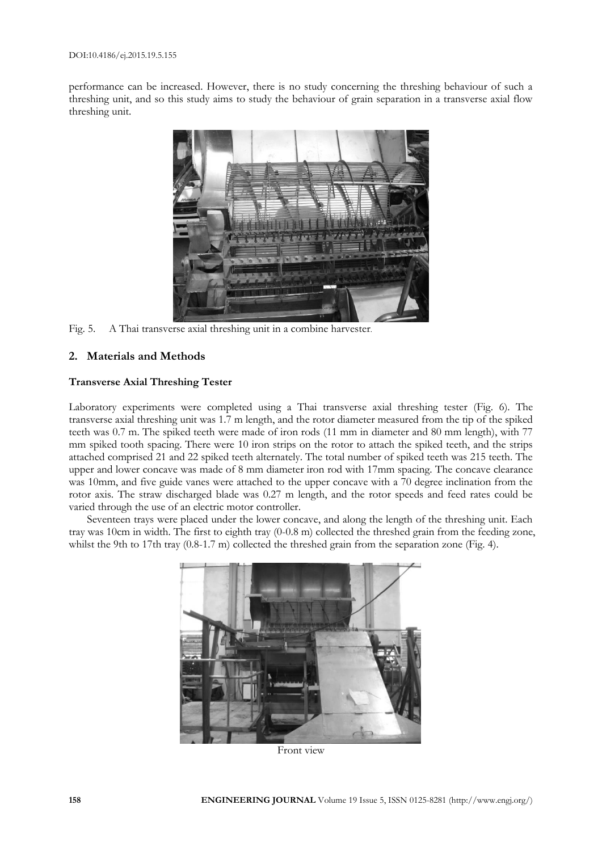performance can be increased. However, there is no study concerning the threshing behaviour of such a threshing unit, and so this study aims to study the behaviour of grain separation in a transverse axial flow threshing unit.



Fig. 5. A Thai transverse axial threshing unit in a combine harvester.

#### **2. Materials and Methods**

#### **Transverse Axial Threshing Tester**

Laboratory experiments were completed using a Thai transverse axial threshing tester (Fig. 6). The transverse axial threshing unit was 1.7 m length, and the rotor diameter measured from the tip of the spiked teeth was 0.7 m. The spiked teeth were made of iron rods (11 mm in diameter and 80 mm length), with 77 mm spiked tooth spacing. There were 10 iron strips on the rotor to attach the spiked teeth, and the strips attached comprised 21 and 22 spiked teeth alternately. The total number of spiked teeth was 215 teeth. The upper and lower concave was made of 8 mm diameter iron rod with 17mm spacing. The concave clearance was 10mm, and five guide vanes were attached to the upper concave with a 70 degree inclination from the rotor axis. The straw discharged blade was 0.27 m length, and the rotor speeds and feed rates could be varied through the use of an electric motor controller.

Seventeen trays were placed under the lower concave, and along the length of the threshing unit. Each tray was 10cm in width. The first to eighth tray (0-0.8 m) collected the threshed grain from the feeding zone, whilst the 9th to 17th tray (0.8-1.7 m) collected the threshed grain from the separation zone (Fig. 4).



Front view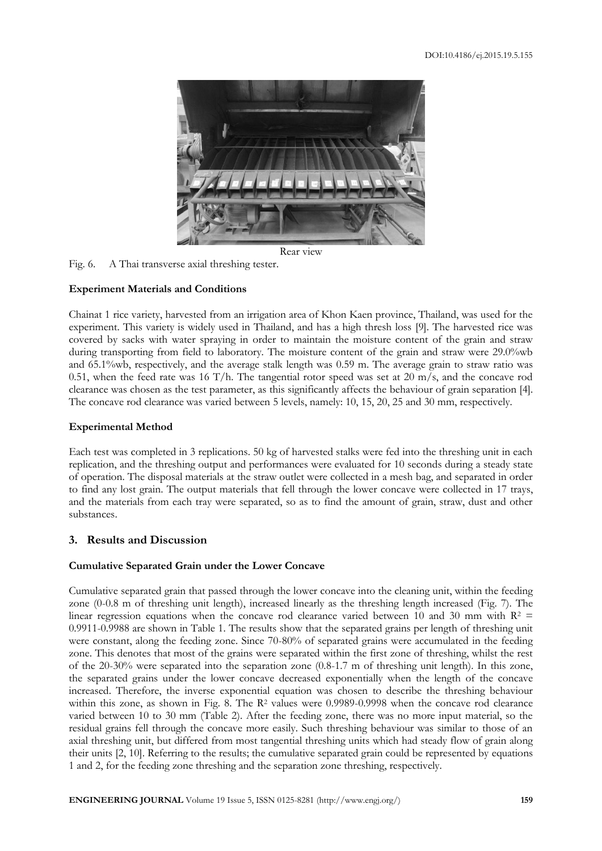

Rear view

Fig. 6. A Thai transverse axial threshing tester.

#### **Experiment Materials and Conditions**

Chainat 1 rice variety, harvested from an irrigation area of Khon Kaen province, Thailand, was used for the experiment. This variety is widely used in Thailand, and has a high thresh loss [9]. The harvested rice was covered by sacks with water spraying in order to maintain the moisture content of the grain and straw during transporting from field to laboratory. The moisture content of the grain and straw were 29.0%wb and 65.1%wb, respectively, and the average stalk length was 0.59 m. The average grain to straw ratio was 0.51, when the feed rate was 16 T/h. The tangential rotor speed was set at 20 m/s, and the concave rod clearance was chosen as the test parameter, as this significantly affects the behaviour of grain separation [4]. The concave rod clearance was varied between 5 levels, namely: 10, 15, 20, 25 and 30 mm, respectively.

#### **Experimental Method**

Each test was completed in 3 replications. 50 kg of harvested stalks were fed into the threshing unit in each replication, and the threshing output and performances were evaluated for 10 seconds during a steady state of operation. The disposal materials at the straw outlet were collected in a mesh bag, and separated in order to find any lost grain. The output materials that fell through the lower concave were collected in 17 trays, and the materials from each tray were separated, so as to find the amount of grain, straw, dust and other substances.

#### **3. Results and Discussion**

## **Cumulative Separated Grain under the Lower Concave**

Cumulative separated grain that passed through the lower concave into the cleaning unit, within the feeding zone (0-0.8 m of threshing unit length), increased linearly as the threshing length increased (Fig. 7). The linear regression equations when the concave rod clearance varied between 10 and 30 mm with  $R^2$  = 0.9911-0.9988 are shown in Table 1. The results show that the separated grains per length of threshing unit were constant, along the feeding zone. Since 70-80% of separated grains were accumulated in the feeding zone. This denotes that most of the grains were separated within the first zone of threshing, whilst the rest of the 20-30% were separated into the separation zone (0.8-1.7 m of threshing unit length). In this zone, the separated grains under the lower concave decreased exponentially when the length of the concave increased. Therefore, the inverse exponential equation was chosen to describe the threshing behaviour within this zone, as shown in Fig. 8. The R<sup>2</sup> values were 0.9989-0.9998 when the concave rod clearance varied between 10 to 30 mm (Table 2). After the feeding zone, there was no more input material, so the residual grains fell through the concave more easily. Such threshing behaviour was similar to those of an axial threshing unit, but differed from most tangential threshing units which had steady flow of grain along their units [2, 10]. Referring to the results; the cumulative separated grain could be represented by equations 1 and 2, for the feeding zone threshing and the separation zone threshing, respectively.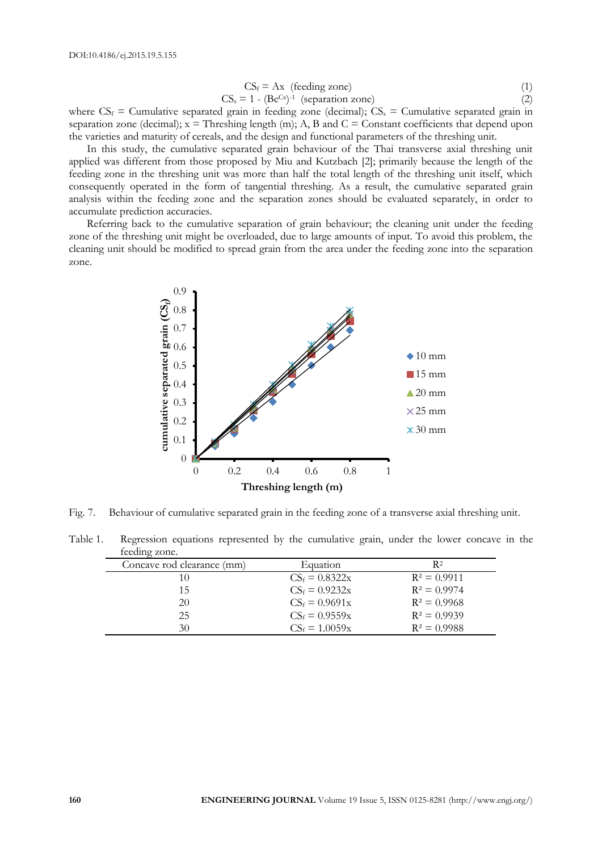$$
CS_f = Ax \text{ (feeding zone)} \tag{1}
$$

$$
CS_s = 1 - (Be^{Cx})^{-1} \text{ (separation zone)}
$$
 (2)

where  $CS_f$  = Cumulative separated grain in feeding zone (decimal);  $CS_s$  = Cumulative separated grain in separation zone (decimal);  $x =$  Threshing length (m); A, B and  $C =$  Constant coefficients that depend upon the varieties and maturity of cereals, and the design and functional parameters of the threshing unit.

In this study, the cumulative separated grain behaviour of the Thai transverse axial threshing unit applied was different from those proposed by Miu and Kutzbach [2]; primarily because the length of the feeding zone in the threshing unit was more than half the total length of the threshing unit itself, which consequently operated in the form of tangential threshing. As a result, the cumulative separated grain analysis within the feeding zone and the separation zones should be evaluated separately, in order to accumulate prediction accuracies.

Referring back to the cumulative separation of grain behaviour; the cleaning unit under the feeding zone of the threshing unit might be overloaded, due to large amounts of input. To avoid this problem, the cleaning unit should be modified to spread grain from the area under the feeding zone into the separation zone.



Fig. 7. Behaviour of cumulative separated grain in the feeding zone of a transverse axial threshing unit.

Table 1. Regression equations represented by the cumulative grain, under the lower concave in the feeding zone.

| Concave rod clearance (mm) | Equation         | R2             |
|----------------------------|------------------|----------------|
|                            | $CS_f = 0.8322x$ | $R^2 = 0.9911$ |
| 15                         | $CS_f = 0.9232x$ | $R^2 = 0.9974$ |
| 20                         | $CS_f = 0.9691x$ | $R^2 = 0.9968$ |
| 25                         | $CS_f = 0.9559x$ | $R^2 = 0.9939$ |
| 30                         | $CS_f = 1.0059x$ | $R^2 = 0.9988$ |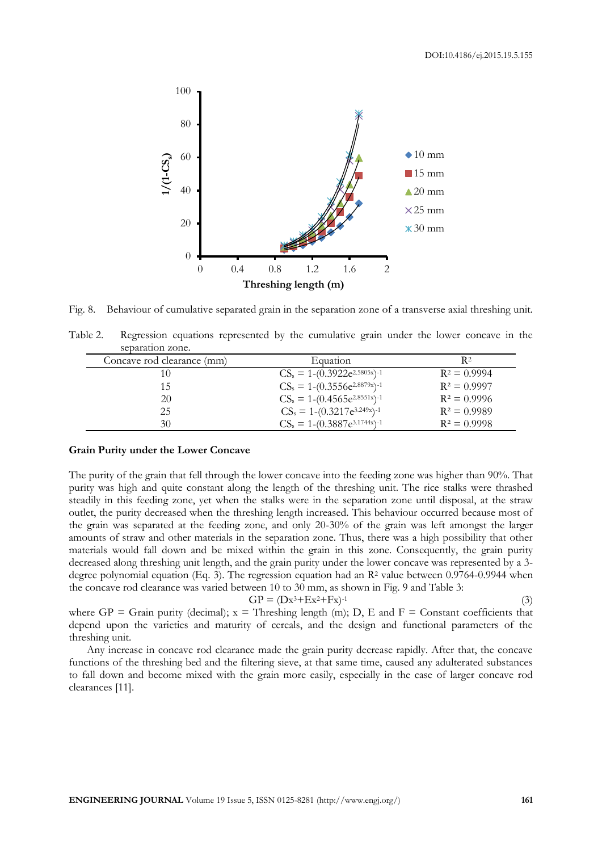

Fig. 8. Behaviour of cumulative separated grain in the separation zone of a transverse axial threshing unit.

Table 2. Regression equations represented by the cumulative grain under the lower concave in the separation zone.

| Concave rod clearance (mm) | Equation                            | R2             |
|----------------------------|-------------------------------------|----------------|
| 10                         | $CS_s = 1-(0.3922e^{2.5805x})^{-1}$ | $R^2 = 0.9994$ |
| 15                         | $CS_s = 1-(0.3556e^{2.8879x})^{-1}$ | $R^2 = 0.9997$ |
| 20                         | $CS_s = 1-(0.4565e^{2.8551x})^{-1}$ | $R^2 = 0.9996$ |
| 25                         | $CS_s = 1-(0.3217e^{3.249x})^{-1}$  | $R^2 = 0.9989$ |
| 30                         | $CS_s = 1-(0.3887e^{3.1744x})^{-1}$ | $R^2 = 0.9998$ |

#### **Grain Purity under the Lower Concave**

The purity of the grain that fell through the lower concave into the feeding zone was higher than 90%. That purity was high and quite constant along the length of the threshing unit. The rice stalks were thrashed steadily in this feeding zone, yet when the stalks were in the separation zone until disposal, at the straw outlet, the purity decreased when the threshing length increased. This behaviour occurred because most of the grain was separated at the feeding zone, and only 20-30% of the grain was left amongst the larger amounts of straw and other materials in the separation zone. Thus, there was a high possibility that other materials would fall down and be mixed within the grain in this zone. Consequently, the grain purity decreased along threshing unit length, and the grain purity under the lower concave was represented by a 3 degree polynomial equation (Eq. 3). The regression equation had an  $\mathbb{R}^2$  value between 0.9764-0.9944 when the concave rod clearance was varied between 10 to 30 mm, as shown in Fig. 9 and Table 3:

$$
GP = (Dx^3 + Ex^2 + Fx)^{-1}
$$

(3)

where  $GP =$  Grain purity (decimal);  $x =$  Threshing length (m); D, E and F = Constant coefficients that depend upon the varieties and maturity of cereals, and the design and functional parameters of the threshing unit.

Any increase in concave rod clearance made the grain purity decrease rapidly. After that, the concave functions of the threshing bed and the filtering sieve, at that same time, caused any adulterated substances to fall down and become mixed with the grain more easily, especially in the case of larger concave rod clearances [11].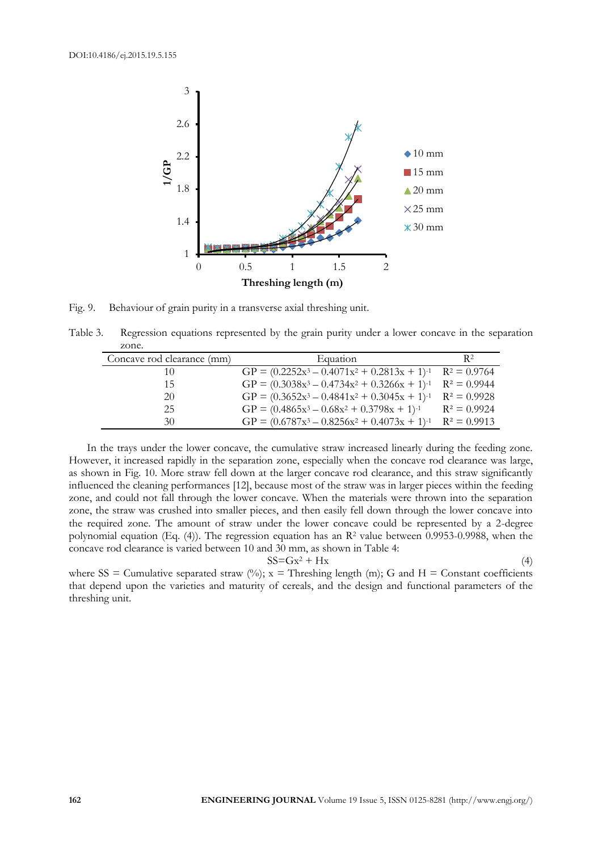

Fig. 9. Behaviour of grain purity in a transverse axial threshing unit.

Table 3. Regression equations represented by the grain purity under a lower concave in the separation zone.

| Concave rod clearance (mm) | Equation                                                         | R <sup>2</sup> |
|----------------------------|------------------------------------------------------------------|----------------|
| 10                         | $GP = (0.2252x^3 - 0.4071x^2 + 0.2813x + 1)^{-1}$ $R^2 = 0.9764$ |                |
| 15                         | $GP = (0.3038x^3 - 0.4734x^2 + 0.3266x + 1)^{-1}$ $R^2 = 0.9944$ |                |
| 20                         | $GP = (0.3652x^3 - 0.4841x^2 + 0.3045x + 1)^{-1}$ $R^2 = 0.9928$ |                |
| 25                         | GP = $(0.4865x^3 - 0.68x^2 + 0.3798x + 1)^{-1}$ $R^2 = 0.9924$   |                |
| 30                         | $GP = (0.6787x^3 - 0.8256x^2 + 0.4073x + 1)^{-1}$                | $R^2 = 0.9913$ |

In the trays under the lower concave, the cumulative straw increased linearly during the feeding zone. However, it increased rapidly in the separation zone, especially when the concave rod clearance was large, as shown in Fig. 10. More straw fell down at the larger concave rod clearance, and this straw significantly influenced the cleaning performances [12], because most of the straw was in larger pieces within the feeding zone, and could not fall through the lower concave. When the materials were thrown into the separation zone, the straw was crushed into smaller pieces, and then easily fell down through the lower concave into the required zone. The amount of straw under the lower concave could be represented by a 2-degree polynomial equation (Eq. (4)). The regression equation has an  $\mathbb{R}^2$  value between 0.9953-0.9988, when the concave rod clearance is varied between 10 and 30 mm, as shown in Table 4:

$$
SS = Gx^2 + Hx \tag{4}
$$

where SS = Cumulative separated straw  $(%)$ ; x = Threshing length (m); G and H = Constant coefficients that depend upon the varieties and maturity of cereals, and the design and functional parameters of the threshing unit.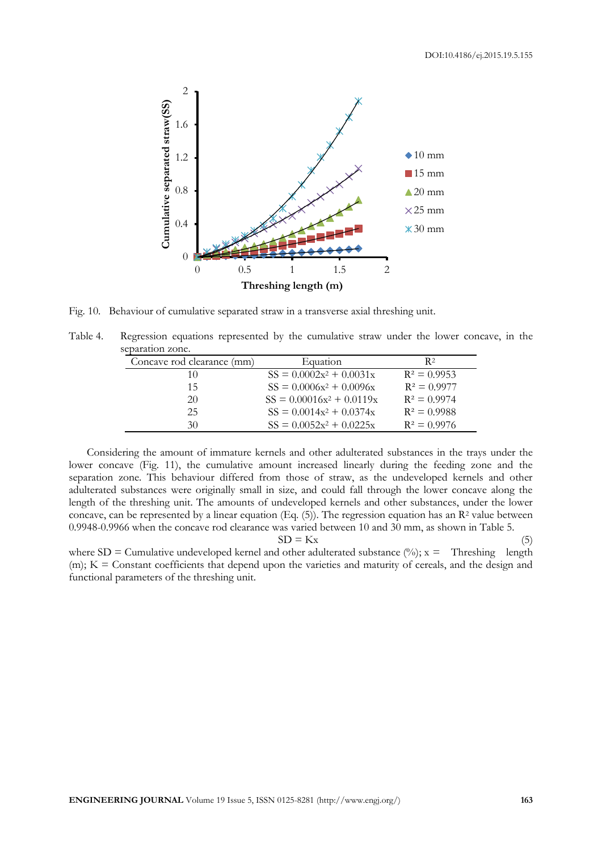

Fig. 10. Behaviour of cumulative separated straw in a transverse axial threshing unit.

Table 4. Regression equations represented by the cumulative straw under the lower concave, in the separation zone.

| Concave rod clearance (mm) | Equation                    | R <sup>2</sup> |
|----------------------------|-----------------------------|----------------|
| 10                         | $SS = 0.0002x^2 + 0.0031x$  | $R^2 = 0.9953$ |
| 15                         | $SS = 0.0006x^2 + 0.0096x$  | $R^2 = 0.9977$ |
| 20                         | $SS = 0.00016x^2 + 0.0119x$ | $R^2 = 0.9974$ |
| 25                         | $SS = 0.0014x^2 + 0.0374x$  | $R^2 = 0.9988$ |
| 30                         | $SS = 0.0052x^2 + 0.0225x$  | $R^2 = 0.9976$ |

Considering the amount of immature kernels and other adulterated substances in the trays under the lower concave (Fig. 11), the cumulative amount increased linearly during the feeding zone and the separation zone. This behaviour differed from those of straw, as the undeveloped kernels and other adulterated substances were originally small in size, and could fall through the lower concave along the length of the threshing unit. The amounts of undeveloped kernels and other substances, under the lower concave, can be represented by a linear equation (Eq. (5)). The regression equation has an  $\mathbb{R}^2$  value between 0.9948-0.9966 when the concave rod clearance was varied between 10 and 30 mm, as shown in Table 5.  $SD = Kx$  (5)

where  $SD =$  Cumulative undeveloped kernel and other adulterated substance  $(\%)$ ; x = Threshing length (m); K = Constant coefficients that depend upon the varieties and maturity of cereals, and the design and functional parameters of the threshing unit.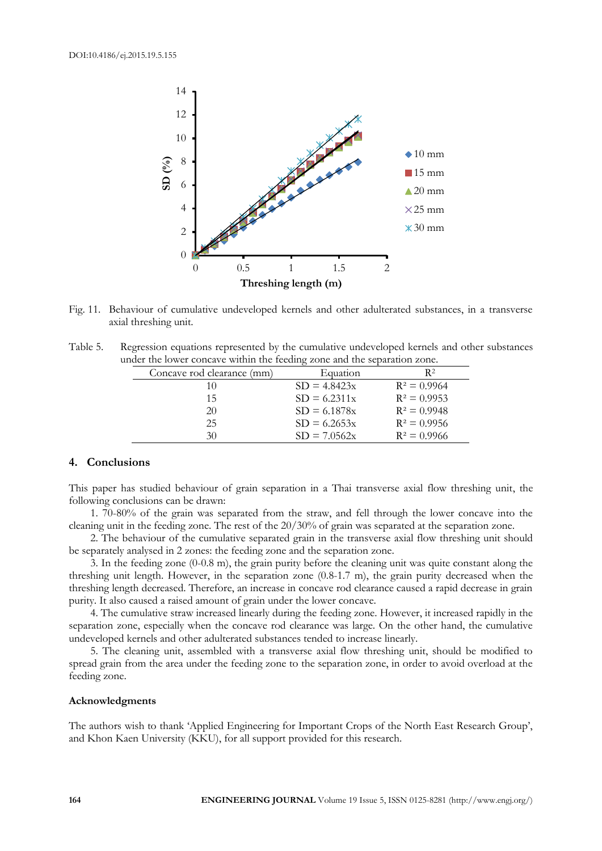

Fig. 11. Behaviour of cumulative undeveloped kernels and other adulterated substances, in a transverse axial threshing unit.

Table 5. Regression equations represented by the cumulative undeveloped kernels and other substances under the lower concave within the feeding zone and the separation zone.

| Concave rod clearance (mm) | Equation       | R <sup>2</sup> |
|----------------------------|----------------|----------------|
| 10                         | $SD = 4.8423x$ | $R^2 = 0.9964$ |
| 15                         | $SD = 6.2311x$ | $R^2 = 0.9953$ |
| 20                         | $SD = 6.1878x$ | $R^2 = 0.9948$ |
| 25                         | $SD = 6.2653x$ | $R^2 = 0.9956$ |
| 30                         | $SD = 7.0562x$ | $R^2 = 0.9966$ |

#### **4. Conclusions**

This paper has studied behaviour of grain separation in a Thai transverse axial flow threshing unit, the following conclusions can be drawn:

1. 70-80% of the grain was separated from the straw, and fell through the lower concave into the cleaning unit in the feeding zone. The rest of the 20/30% of grain was separated at the separation zone.

2. The behaviour of the cumulative separated grain in the transverse axial flow threshing unit should be separately analysed in 2 zones: the feeding zone and the separation zone.

3. In the feeding zone (0-0.8 m), the grain purity before the cleaning unit was quite constant along the threshing unit length. However, in the separation zone (0.8-1.7 m), the grain purity decreased when the threshing length decreased. Therefore, an increase in concave rod clearance caused a rapid decrease in grain purity. It also caused a raised amount of grain under the lower concave.

4. The cumulative straw increased linearly during the feeding zone. However, it increased rapidly in the separation zone, especially when the concave rod clearance was large. On the other hand, the cumulative undeveloped kernels and other adulterated substances tended to increase linearly.

5. The cleaning unit, assembled with a transverse axial flow threshing unit, should be modified to spread grain from the area under the feeding zone to the separation zone, in order to avoid overload at the feeding zone.

#### **Acknowledgments**

The authors wish to thank 'Applied Engineering for Important Crops of the North East Research Group', and Khon Kaen University (KKU), for all support provided for this research.